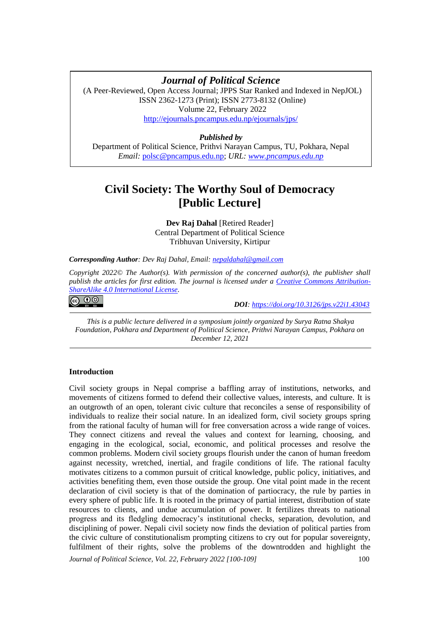# **Civil Society: The Worthy Soul of Democracy [Opinion]** *Journal of Political Science*

(A Peer-Reviewed, Open Access Journal; JPPS Star Ranked and Indexed in NepJOL) ISSN 2362-1273 (Print); ISSN 2773-8132 (Online) Volume 22, February 2022 <http://ejournals.pncampus.edu.np/ejournals/jps/>

# *Published by*

Department of Political Science, Prithvi Narayan Campus, TU, Pokhara, Nepal *Email:* [polsc@pncampus.edu.np;](mailto:polsc@pncampus.edu.np) *URL: [www.pncampus.edu.np](http://www.pncampus.edu.np/)*

# **Civil Society: The Worthy Soul of Democracy [Public Lecture]**

**Dev Raj Dahal** [Retired Reader] Central Department of Political Science Tribhuvan University, Kirtipur

*Corresponding Author: Dev Raj Dahal, Email: [nepaldahal@gmail.com](mailto:nepaldahal@gmail.com)*

*Copyright 2022© The Author(s). With permission of the concerned author(s), the publisher shall publish the articles for first edition. The journal is licensed under a [Creative Commons Attribution-](https://creativecommons.org/licenses/by-sa/4.0/)[ShareAlike 4.0 International License.](https://creativecommons.org/licenses/by-sa/4.0/)*

|ெ 0

 *DOI: <https://doi.org/10.3126/jps.v22i1.43043>*

*This is a public lecture delivered in a symposium jointly organized by Surya Ratna Shakya Foundation, Pokhara and Department of Political Science, Prithvi Narayan Campus, Pokhara on December 12, 2021*

## **Introduction**

Civil society groups in Nepal comprise a baffling array of institutions, networks, and movements of citizens formed to defend their collective values, interests, and culture. It is an outgrowth of an open, tolerant civic culture that reconciles a sense of responsibility of individuals to realize their social nature. In an idealized form, civil society groups spring from the rational faculty of human will for free conversation across a wide range of voices. They connect citizens and reveal the values and context for learning, choosing, and engaging in the ecological, social, economic, and political processes and resolve the common problems. Modern civil society groups flourish under the canon of human freedom against necessity, wretched, inertial, and fragile conditions of life. The rational faculty motivates citizens to a common pursuit of critical knowledge, public policy, initiatives, and activities benefiting them, even those outside the group. One vital point made in the recent declaration of civil society is that of the domination of partiocracy, the rule by parties in every sphere of public life. It is rooted in the primacy of partial interest, distribution of state resources to clients, and undue accumulation of power. It fertilizes threats to national progress and its fledgling democracy's institutional checks, separation, devolution, and disciplining of power. Nepali civil society now finds the deviation of political parties from the civic culture of constitutionalism prompting citizens to cry out for popular sovereignty, fulfilment of their rights, solve the problems of the downtrodden and highlight the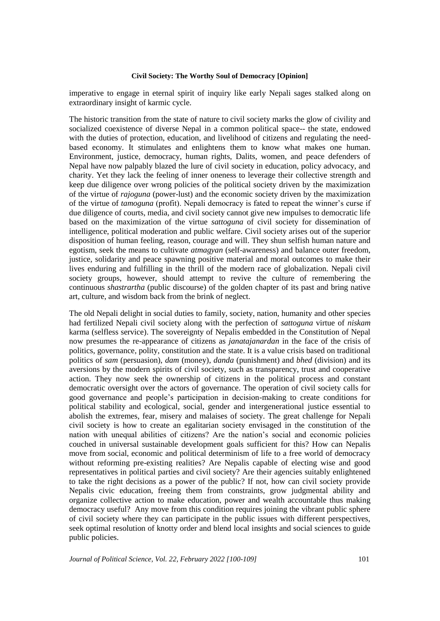imperative to engage in eternal spirit of inquiry like early Nepali sages stalked along on extraordinary insight of karmic cycle.

The historic transition from the state of nature to civil society marks the glow of civility and socialized coexistence of diverse Nepal in a common political space-- the state, endowed with the duties of protection, education, and livelihood of citizens and regulating the needbased economy. It stimulates and enlightens them to know what makes one human. Environment, justice, democracy, human rights, Dalits, women, and peace defenders of Nepal have now palpably blazed the lure of civil society in education, policy advocacy, and charity. Yet they lack the feeling of inner oneness to leverage their collective strength and keep due diligence over wrong policies of the political society driven by the maximization of the virtue of *rajoguna* (power-lust) and the economic society driven by the maximization of the virtue of *tamoguna* (profit). Nepali democracy is fated to repeat the winner's curse if due diligence of courts, media, and civil society cannot give new impulses to democratic life based on the maximization of the virtue *sattoguna* of civil society for dissemination of intelligence, political moderation and public welfare. Civil society arises out of the superior disposition of human feeling, reason, courage and will. They shun selfish human nature and egotism, seek the means to cultivate *atmagyan* (self-awareness) and balance outer freedom, justice, solidarity and peace spawning positive material and moral outcomes to make their lives enduring and fulfilling in the thrill of the modern race of globalization. Nepali civil society groups, however, should attempt to revive the culture of remembering the continuous *shastrartha* (public discourse) of the golden chapter of its past and bring native art, culture, and wisdom back from the brink of neglect.

The old Nepali delight in social duties to family, society, nation, humanity and other species had fertilized Nepali civil society along with the perfection of *sattoguna* virtue of *niskam* karma (selfless service). The sovereignty of Nepalis embedded in the Constitution of Nepal now presumes the re-appearance of citizens as *janatajanardan* in the face of the crisis of politics, governance, polity, constitution and the state. It is a value crisis based on traditional politics of *sam* (persuasion), *dam* (money), *danda* (punishment) and *bhed* (division) and its aversions by the modern spirits of civil society, such as transparency, trust and cooperative action. They now seek the ownership of citizens in the political process and constant democratic oversight over the actors of governance. The operation of civil society calls for good governance and people's participation in decision-making to create conditions for political stability and ecological, social, gender and intergenerational justice essential to abolish the extremes, fear, misery and malaises of society. The great challenge for Nepali civil society is how to create an egalitarian society envisaged in the constitution of the nation with unequal abilities of citizens? Are the nation's social and economic policies couched in universal sustainable development goals sufficient for this? How can Nepalis move from social, economic and political determinism of life to a free world of democracy without reforming pre-existing realities? Are Nepalis capable of electing wise and good representatives in political parties and civil society? Are their agencies suitably enlightened to take the right decisions as a power of the public? If not, how can civil society provide Nepalis civic education, freeing them from constraints, grow judgmental ability and organize collective action to make education, power and wealth accountable thus making democracy useful? Any move from this condition requires joining the vibrant public sphere of civil society where they can participate in the public issues with different perspectives, seek optimal resolution of knotty order and blend local insights and social sciences to guide public policies.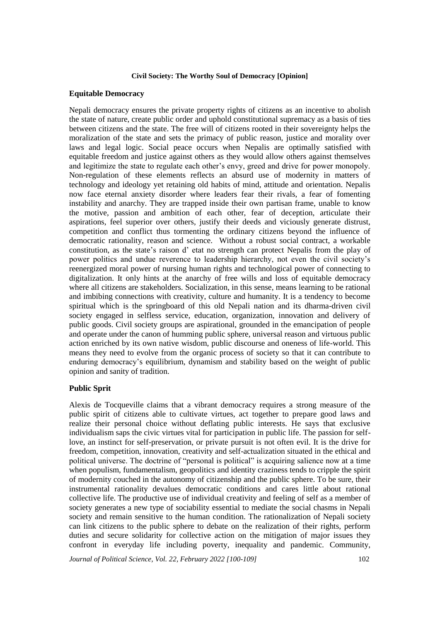## **Equitable Democracy**

Nepali democracy ensures the private property rights of citizens as an incentive to abolish the state of nature, create public order and uphold constitutional supremacy as a basis of ties between citizens and the state. The free will of citizens rooted in their sovereignty helps the moralization of the state and sets the primacy of public reason, justice and morality over laws and legal logic. Social peace occurs when Nepalis are optimally satisfied with equitable freedom and justice against others as they would allow others against themselves and legitimize the state to regulate each other's envy, greed and drive for power monopoly. Non-regulation of these elements reflects an absurd use of modernity in matters of technology and ideology yet retaining old habits of mind, attitude and orientation. Nepalis now face eternal anxiety disorder where leaders fear their rivals, a fear of fomenting instability and anarchy. They are trapped inside their own partisan frame, unable to know the motive, passion and ambition of each other, fear of deception, articulate their aspirations, feel superior over others, justify their deeds and viciously generate distrust, competition and conflict thus tormenting the ordinary citizens beyond the influence of democratic rationality, reason and science. Without a robust social contract, a workable constitution, as the state's raison d' etat no strength can protect Nepalis from the play of power politics and undue reverence to leadership hierarchy, not even the civil society's reenergized moral power of nursing human rights and technological power of connecting to digitalization. It only hints at the anarchy of free wills and loss of equitable democracy where all citizens are stakeholders. Socialization, in this sense, means learning to be rational and imbibing connections with creativity, culture and humanity. It is a tendency to become spiritual which is the springboard of this old Nepali nation and its dharma-driven civil society engaged in selfless service, education, organization, innovation and delivery of public goods. Civil society groups are aspirational, grounded in the emancipation of people and operate under the canon of humming public sphere, universal reason and virtuous public action enriched by its own native wisdom, public discourse and oneness of life-world. This means they need to evolve from the organic process of society so that it can contribute to enduring democracy's equilibrium, dynamism and stability based on the weight of public opinion and sanity of tradition.

## **Public Sprit**

Alexis de Tocqueville claims that a vibrant democracy requires a strong measure of the public spirit of citizens able to cultivate virtues, act together to prepare good laws and realize their personal choice without deflating public interests. He says that exclusive individualism saps the civic virtues vital for participation in public life. The passion for selflove, an instinct for self-preservation, or private pursuit is not often evil. It is the drive for freedom, competition, innovation, creativity and self-actualization situated in the ethical and political universe. The doctrine of "personal is political" is acquiring salience now at a time when populism, fundamentalism, geopolitics and identity craziness tends to cripple the spirit of modernity couched in the autonomy of citizenship and the public sphere. To be sure, their instrumental rationality devalues democratic conditions and cares little about rational collective life. The productive use of individual creativity and feeling of self as a member of society generates a new type of sociability essential to mediate the social chasms in Nepali society and remain sensitive to the human condition. The rationalization of Nepali society can link citizens to the public sphere to debate on the realization of their rights, perform duties and secure solidarity for collective action on the mitigation of major issues they confront in everyday life including poverty, inequality and pandemic. Community,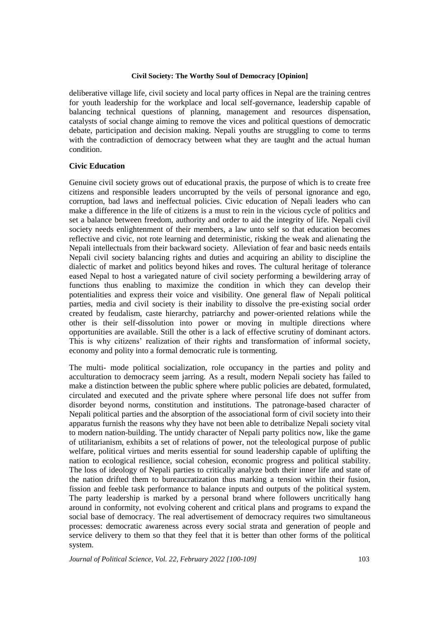deliberative village life, civil society and local party offices in Nepal are the training centres for youth leadership for the workplace and local self-governance, leadership capable of balancing technical questions of planning, management and resources dispensation, catalysts of social change aiming to remove the vices and political questions of democratic debate, participation and decision making. Nepali youths are struggling to come to terms with the contradiction of democracy between what they are taught and the actual human condition.

## **Civic Education**

Genuine civil society grows out of educational praxis, the purpose of which is to create free citizens and responsible leaders uncorrupted by the veils of personal ignorance and ego, corruption, bad laws and ineffectual policies. Civic education of Nepali leaders who can make a difference in the life of citizens is a must to rein in the vicious cycle of politics and set a balance between freedom, authority and order to aid the integrity of life. Nepali civil society needs enlightenment of their members, a law unto self so that education becomes reflective and civic, not rote learning and deterministic, risking the weak and alienating the Nepali intellectuals from their backward society. Alleviation of fear and basic needs entails Nepali civil society balancing rights and duties and acquiring an ability to discipline the dialectic of market and politics beyond hikes and roves. The cultural heritage of tolerance eased Nepal to host a variegated nature of civil society performing a bewildering array of functions thus enabling to maximize the condition in which they can develop their potentialities and express their voice and visibility. One general flaw of Nepali political parties, media and civil society is their inability to dissolve the pre-existing social order created by feudalism, caste hierarchy, patriarchy and power-oriented relations while the other is their self-dissolution into power or moving in multiple directions where opportunities are available. Still the other is a lack of effective scrutiny of dominant actors. This is why citizens' realization of their rights and transformation of informal society, economy and polity into a formal democratic rule is tormenting.

The multi- mode political socialization, role occupancy in the parties and polity and acculturation to democracy seem jarring. As a result, modern Nepali society has failed to make a distinction between the public sphere where public policies are debated, formulated, circulated and executed and the private sphere where personal life does not suffer from disorder beyond norms, constitution and institutions. The patronage-based character of Nepali political parties and the absorption of the associational form of civil society into their apparatus furnish the reasons why they have not been able to detribalize Nepali society vital to modern nation-building. The untidy character of Nepali party politics now, like the game of utilitarianism, exhibits a set of relations of power, not the teleological purpose of public welfare, political virtues and merits essential for sound leadership capable of uplifting the nation to ecological resilience, social cohesion, economic progress and political stability. The loss of ideology of Nepali parties to critically analyze both their inner life and state of the nation drifted them to bureaucratization thus marking a tension within their fusion, fission and feeble task performance to balance inputs and outputs of the political system. The party leadership is marked by a personal brand where followers uncritically hang around in conformity, not evolving coherent and critical plans and programs to expand the social base of democracy. The real advertisement of democracy requires two simultaneous processes: democratic awareness across every social strata and generation of people and service delivery to them so that they feel that it is better than other forms of the political system.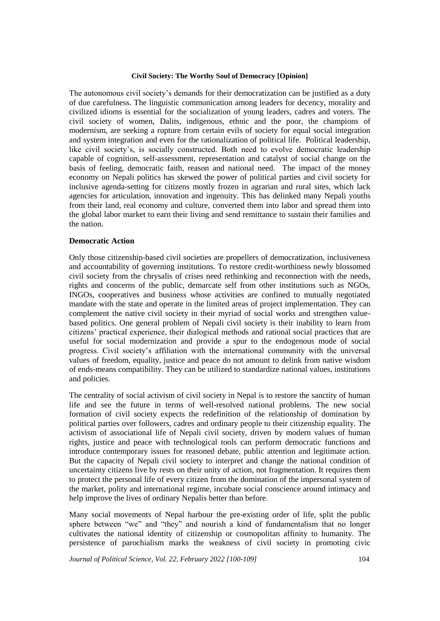The autonomous civil society's demands for their democratization can be justified as a duty of due carefulness. The linguistic communication among leaders for decency, morality and civilized idioms is essential for the socialization of young leaders, cadres and voters. The civil society of women, Dalits, indigenous, ethnic and the poor, the champions of modernism, are seeking a rupture from certain evils of society for equal social integration and system integration and even for the rationalization of political life. Political leadership, like civil society's, is socially constructed. Both need to evolve democratic leadership capable of cognition, self-assessment, representation and catalyst of social change on the basis of feeling, democratic faith, reason and national need. The impact of the money economy on Nepali politics has skewed the power of political parties and civil society for inclusive agenda-setting for citizens mostly frozen in agrarian and rural sites, which lack agencies for articulation, innovation and ingenuity. This has delinked many Nepali youths from their land, real economy and culture, converted them into labor and spread them into the global labor market to earn their living and send remittance to sustain their families and the nation.

## **Democratic Action**

Only those citizenship-based civil societies are propellers of democratization, inclusiveness and accountability of governing institutions. To restore credit-worthiness newly blossomed civil society from the chrysalis of crises need rethinking and reconnection with the needs, rights and concerns of the public, demarcate self from other institutions such as NGOs, INGOs, cooperatives and business whose activities are confined to mutually negotiated mandate with the state and operate in the limited areas of project implementation. They can complement the native civil society in their myriad of social works and strengthen valuebased politics. One general problem of Nepali civil society is their inability to learn from citizens' practical experience, their dialogical methods and rational social practices that are useful for social modernization and provide a spur to the endogenous mode of social progress. Civil society's affiliation with the international community with the universal values of freedom, equality, justice and peace do not amount to delink from native wisdom of ends-means compatibility. They can be utilized to standardize national values, institutions and policies.

The centrality of social activism of civil society in Nepal is to restore the sanctity of human life and see the future in terms of well-resolved national problems. The new social formation of civil society expects the redefinition of the relationship of domination by political parties over followers, cadres and ordinary people to their citizenship equality. The activism of associational life of Nepali civil society, driven by modern values of human rights, justice and peace with technological tools can perform democratic functions and introduce contemporary issues for reasoned debate, public attention and legitimate action. But the capacity of Nepali civil society to interpret and change the national condition of uncertainty citizens live by rests on their unity of action, not fragmentation. It requires them to protect the personal life of every citizen from the domination of the impersonal system of the market, polity and international regime, incubate social conscience around intimacy and help improve the lives of ordinary Nepalis better than before.

Many social movements of Nepal harbour the pre-existing order of life, split the public sphere between "we" and "they" and nourish a kind of fundamentalism that no longer cultivates the national identity of citizenship or cosmopolitan affinity to humanity. The persistence of parochialism marks the weakness of civil society in promoting civic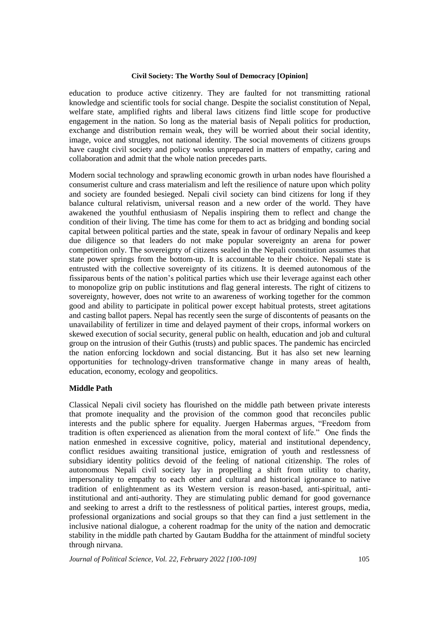education to produce active citizenry. They are faulted for not transmitting rational knowledge and scientific tools for social change. Despite the socialist constitution of Nepal, welfare state, amplified rights and liberal laws citizens find little scope for productive engagement in the nation. So long as the material basis of Nepali politics for production, exchange and distribution remain weak, they will be worried about their social identity, image, voice and struggles, not national identity. The social movements of citizens groups have caught civil society and policy wonks unprepared in matters of empathy, caring and collaboration and admit that the whole nation precedes parts.

Modern social technology and sprawling economic growth in urban nodes have flourished a consumerist culture and crass materialism and left the resilience of nature upon which polity and society are founded besieged. Nepali civil society can bind citizens for long if they balance cultural relativism, universal reason and a new order of the world. They have awakened the youthful enthusiasm of Nepalis inspiring them to reflect and change the condition of their living. The time has come for them to act as bridging and bonding social capital between political parties and the state, speak in favour of ordinary Nepalis and keep due diligence so that leaders do not make popular sovereignty an arena for power competition only. The sovereignty of citizens sealed in the Nepali constitution assumes that state power springs from the bottom-up. It is accountable to their choice. Nepali state is entrusted with the collective sovereignty of its citizens. It is deemed autonomous of the fissiparous bents of the nation's political parties which use their leverage against each other to monopolize grip on public institutions and flag general interests. The right of citizens to sovereignty, however, does not write to an awareness of working together for the common good and ability to participate in political power except habitual protests, street agitations and casting ballot papers. Nepal has recently seen the surge of discontents of peasants on the unavailability of fertilizer in time and delayed payment of their crops, informal workers on skewed execution of social security, general public on health, education and job and cultural group on the intrusion of their Guthis (trusts) and public spaces. The pandemic has encircled the nation enforcing lockdown and social distancing. But it has also set new learning opportunities for technology-driven transformative change in many areas of health, education, economy, ecology and geopolitics.

# **Middle Path**

Classical Nepali civil society has flourished on the middle path between private interests that promote inequality and the provision of the common good that reconciles public interests and the public sphere for equality. Juergen Habermas argues, "Freedom from tradition is often experienced as alienation from the moral context of life." One finds the nation enmeshed in excessive cognitive, policy, material and institutional dependency, conflict residues awaiting transitional justice, emigration of youth and restlessness of subsidiary identity politics devoid of the feeling of national citizenship. The roles of autonomous Nepali civil society lay in propelling a shift from utility to charity, impersonality to empathy to each other and cultural and historical ignorance to native tradition of enlightenment as its Western version is reason-based, anti-spiritual, antiinstitutional and anti-authority. They are stimulating public demand for good governance and seeking to arrest a drift to the restlessness of political parties, interest groups, media, professional organizations and social groups so that they can find a just settlement in the inclusive national dialogue, a coherent roadmap for the unity of the nation and democratic stability in the middle path charted by Gautam Buddha for the attainment of mindful society through nirvana.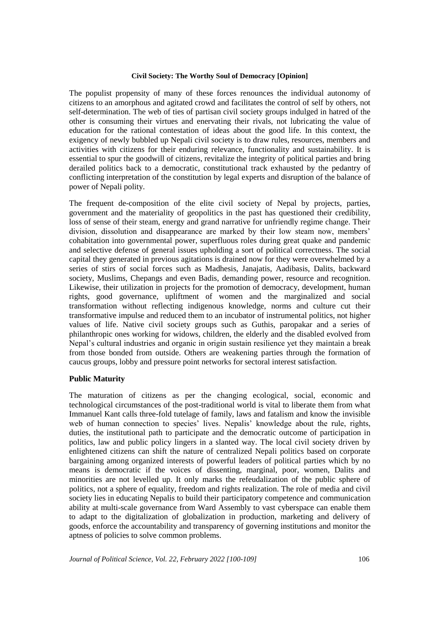The populist propensity of many of these forces renounces the individual autonomy of citizens to an amorphous and agitated crowd and facilitates the control of self by others, not self-determination. The web of ties of partisan civil society groups indulged in hatred of the other is consuming their virtues and enervating their rivals, not lubricating the value of education for the rational contestation of ideas about the good life. In this context, the exigency of newly bubbled up Nepali civil society is to draw rules, resources, members and activities with citizens for their enduring relevance, functionality and sustainability. It is essential to spur the goodwill of citizens, revitalize the integrity of political parties and bring derailed politics back to a democratic, constitutional track exhausted by the pedantry of conflicting interpretation of the constitution by legal experts and disruption of the balance of power of Nepali polity.

The frequent de-composition of the elite civil society of Nepal by projects, parties, government and the materiality of geopolitics in the past has questioned their credibility, loss of sense of their steam, energy and grand narrative for unfriendly regime change. Their division, dissolution and disappearance are marked by their low steam now, members' cohabitation into governmental power, superfluous roles during great quake and pandemic and selective defense of general issues upholding a sort of political correctness. The social capital they generated in previous agitations is drained now for they were overwhelmed by a series of stirs of social forces such as Madhesis, Janajatis, Aadibasis, Dalits, backward society, Muslims, Chepangs and even Badis, demanding power, resource and recognition. Likewise, their utilization in projects for the promotion of democracy, development, human rights, good governance, upliftment of women and the marginalized and social transformation without reflecting indigenous knowledge, norms and culture cut their transformative impulse and reduced them to an incubator of instrumental politics, not higher values of life. Native civil society groups such as Guthis, paropakar and a series of philanthropic ones working for widows, children, the elderly and the disabled evolved from Nepal's cultural industries and organic in origin sustain resilience yet they maintain a break from those bonded from outside. Others are weakening parties through the formation of caucus groups, lobby and pressure point networks for sectoral interest satisfaction.

## **Public Maturity**

The maturation of citizens as per the changing ecological, social, economic and technological circumstances of the post-traditional world is vital to liberate them from what Immanuel Kant calls three-fold tutelage of family, laws and fatalism and know the invisible web of human connection to species' lives. Nepalis' knowledge about the rule, rights, duties, the institutional path to participate and the democratic outcome of participation in politics, law and public policy lingers in a slanted way. The local civil society driven by enlightened citizens can shift the nature of centralized Nepali politics based on corporate bargaining among organized interests of powerful leaders of political parties which by no means is democratic if the voices of dissenting, marginal, poor, women, Dalits and minorities are not levelled up. It only marks the refeudalization of the public sphere of politics, not a sphere of equality, freedom and rights realization. The role of media and civil society lies in educating Nepalis to build their participatory competence and communication ability at multi-scale governance from Ward Assembly to vast cyberspace can enable them to adapt to the digitalization of globalization in production, marketing and delivery of goods, enforce the accountability and transparency of governing institutions and monitor the aptness of policies to solve common problems.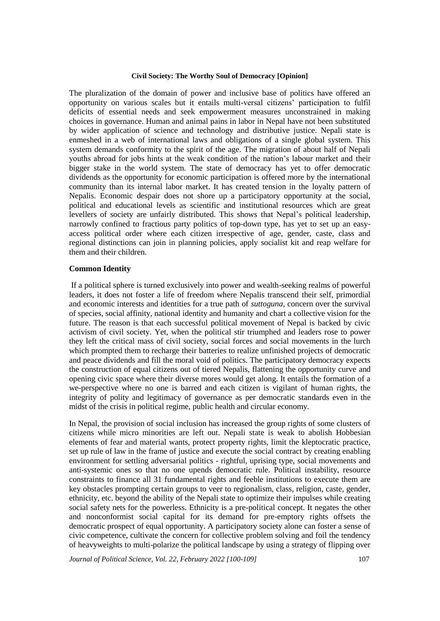The pluralization of the domain of power and inclusive base of politics have offered an opportunity on various scales but it entails multi-versal citizens' participation to fulfil deficits of essential needs and seek empowerment measures unconstrained in making choices in governance. Human and animal pains in labor in Nepal have not been substituted by wider application of science and technology and distributive justice. Nepali state is enmeshed in a web of international laws and obligations of a single global system. This system demands conformity to the spirit of the age. The migration of about half of Nepali youths abroad for jobs hints at the weak condition of the nation's labour market and their bigger stake in the world system. The state of democracy has yet to offer democratic dividends as the opportunity for economic participation is offered more by the international community than its internal labor market. It has created tension in the loyalty pattern of Nepalis. Economic despair does not shore up a participatory opportunity at the social, political and educational levels as scientific and institutional resources which are great levellers of society are unfairly distributed. This shows that Nepal's political leadership, narrowly confined to fractious party politics of top-down type, has yet to set up an easyaccess political order where each citizen irrespective of age, gender, caste, class and regional distinctions can join in planning policies, apply socialist kit and reap welfare for them and their children.

#### **Common Identity**

If a political sphere is turned exclusively into power and wealth-seeking realms of powerful leaders, it does not foster a life of freedom where Nepalis transcend their self, primordial and economic interests and identities for a true path of *suttoguna*, concern over the survival of species, social affinity, national identity and humanity and chart a collective vision for the future. The reason is that each successful political movement of Nepal is backed by civic activism of civil society. Yet, when the political stir triumphed and leaders rose to power they left the critical mass of civil society, social forces and social movements in the lurch which prompted them to recharge their batteries to realize unfinished projects of democratic and peace dividends and fill the moral void of politics. The participatory democracy expects the construction of equal citizens out of tiered Nepalis, flattening the opportunity curve and opening civic space where their diverse mores would get along. It entails the formation of a we-perspective where no one is barred and each citizen is vigilant of human rights, the integrity of polity and legitimacy of governance as per democratic standards even in the midst of the crisis in political regime, public health and circular economy.

In Nepal, the provision of social inclusion has increased the group rights of some clusters of citizens while micro minorities are left out. Nepali state is weak to abolish Hobbesian elements of fear and material wants, protect property rights, limit the kleptocratic practice, set up rule of law in the frame of justice and execute the social contract by creating enabling environment for settling adversarial politics - rightful, uprising type, social movements and anti-systemic ones so that no one upends democratic rule. Political instability, resource constraints to finance all 31 fundamental rights and feeble institutions to execute them are key obstacles prompting certain groups to veer to regionalism, class, religion, caste, gender, ethnicity, etc. beyond the ability of the Nepali state to optimize their impulses while creating social safety nets for the powerless. Ethnicity is a pre-political concept. It negates the other and nonconformist social capital for its demand for pre-emptory rights offsets the democratic prospect of equal opportunity. A participatory society alone can foster a sense of civic competence, cultivate the concern for collective problem solving and foil the tendency of heavyweights to multi-polarize the political landscape by using a strategy of flipping over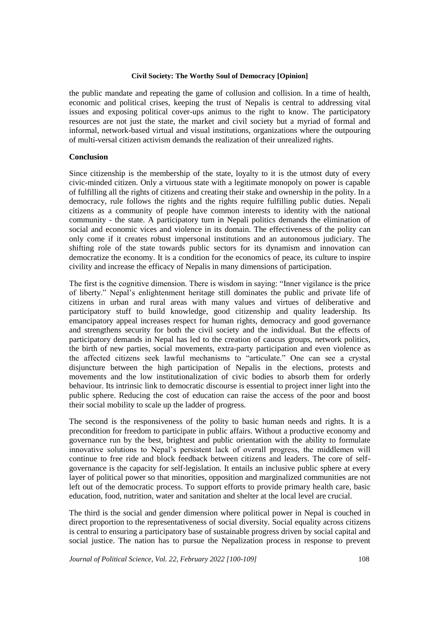the public mandate and repeating the game of collusion and collision. In a time of health, economic and political crises, keeping the trust of Nepalis is central to addressing vital issues and exposing political cover-ups animus to the right to know. The participatory resources are not just the state, the market and civil society but a myriad of formal and informal, network-based virtual and visual institutions, organizations where the outpouring of multi-versal citizen activism demands the realization of their unrealized rights.

## **Conclusion**

Since citizenship is the membership of the state, loyalty to it is the utmost duty of every civic-minded citizen. Only a virtuous state with a legitimate monopoly on power is capable of fulfilling all the rights of citizens and creating their stake and ownership in the polity. In a democracy, rule follows the rights and the rights require fulfilling public duties. Nepali citizens as a community of people have common interests to identity with the national community - the state. A participatory turn in Nepali politics demands the elimination of social and economic vices and violence in its domain. The effectiveness of the polity can only come if it creates robust impersonal institutions and an autonomous judiciary. The shifting role of the state towards public sectors for its dynamism and innovation can democratize the economy. It is a condition for the economics of peace, its culture to inspire civility and increase the efficacy of Nepalis in many dimensions of participation.

The first is the cognitive dimension. There is wisdom in saying: "Inner vigilance is the price of liberty." Nepal's enlightenment heritage still dominates the public and private life of citizens in urban and rural areas with many values and virtues of deliberative and participatory stuff to build knowledge, good citizenship and quality leadership. Its emancipatory appeal increases respect for human rights, democracy and good governance and strengthens security for both the civil society and the individual. But the effects of participatory demands in Nepal has led to the creation of caucus groups, network politics, the birth of new parties, social movements, extra-party participation and even violence as the affected citizens seek lawful mechanisms to "articulate." One can see a crystal disjuncture between the high participation of Nepalis in the elections, protests and movements and the low institutionalization of civic bodies to absorb them for orderly behaviour. Its intrinsic link to democratic discourse is essential to project inner light into the public sphere. Reducing the cost of education can raise the access of the poor and boost their social mobility to scale up the ladder of progress.

The second is the responsiveness of the polity to basic human needs and rights. It is a precondition for freedom to participate in public affairs. Without a productive economy and governance run by the best, brightest and public orientation with the ability to formulate innovative solutions to Nepal's persistent lack of overall progress, the middlemen will continue to free ride and block feedback between citizens and leaders. The core of selfgovernance is the capacity for self-legislation. It entails an inclusive public sphere at every layer of political power so that minorities, opposition and marginalized communities are not left out of the democratic process. To support efforts to provide primary health care, basic education, food, nutrition, water and sanitation and shelter at the local level are crucial.

The third is the social and gender dimension where political power in Nepal is couched in direct proportion to the representativeness of social diversity. Social equality across citizens is central to ensuring a participatory base of sustainable progress driven by social capital and social justice. The nation has to pursue the Nepalization process in response to prevent